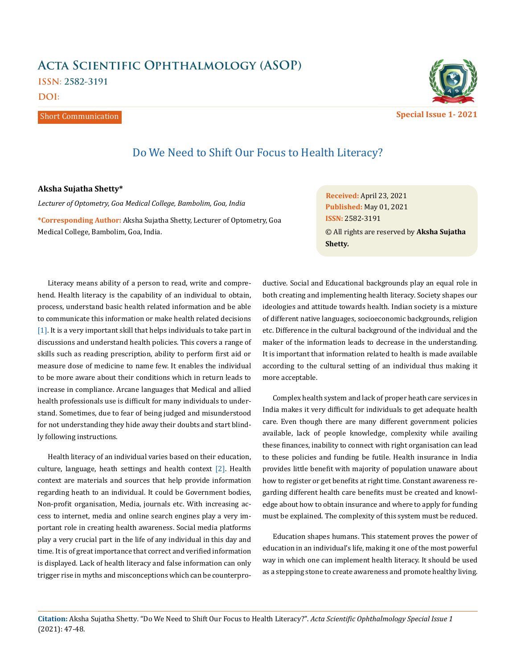## **Acta Scientific Ophthalmology (ASOP) ISSN: 2582-3191 DOI:**

Short Communication



Do We Need to Shift Our Focus to Health Literacy?

## **Aksha Sujatha Shetty\***

*Lecturer of Optometry, Goa Medical College, Bambolim, Goa, India* 

**\*Corresponding Author:** Aksha Sujatha Shetty, Lecturer of Optometry, Goa Medical College, Bambolim, Goa, India.

**Received:** April 23, 2021 **Published:** May 01, 2021 © All rights are reserved by **Aksha Sujatha Shetty***.* **ISSN:** 2582-3191

Literacy means ability of a person to read, write and comprehend. Health literacy is the capability of an individual to obtain, process, understand basic health related information and be able to communicate this information or make health related decisions [1]. It is a very important skill that helps individuals to take part in discussions and understand health policies. This covers a range of skills such as reading prescription, ability to perform first aid or measure dose of medicine to name few. It enables the individual to be more aware about their conditions which in return leads to increase in compliance. Arcane languages that Medical and allied health professionals use is difficult for many individuals to understand. Sometimes, due to fear of being judged and misunderstood for not understanding they hide away their doubts and start blindly following instructions.

Health literacy of an individual varies based on their education, culture, language, heath settings and health context [2]. Health context are materials and sources that help provide information regarding heath to an individual. It could be Government bodies, Non-profit organisation, Media, journals etc. With increasing access to internet, media and online search engines play a very important role in creating health awareness. Social media platforms play a very crucial part in the life of any individual in this day and time. It is of great importance that correct and verified information is displayed. Lack of health literacy and false information can only trigger rise in myths and misconceptions which can be counterproductive. Social and Educational backgrounds play an equal role in both creating and implementing health literacy. Society shapes our ideologies and attitude towards health. Indian society is a mixture of different native languages, socioeconomic backgrounds, religion etc. Difference in the cultural background of the individual and the maker of the information leads to decrease in the understanding. It is important that information related to health is made available according to the cultural setting of an individual thus making it more acceptable.

Complex health system and lack of proper heath care services in India makes it very difficult for individuals to get adequate health care. Even though there are many different government policies available, lack of people knowledge, complexity while availing these finances, inability to connect with right organisation can lead to these policies and funding be futile. Health insurance in India provides little benefit with majority of population unaware about how to register or get benefits at right time. Constant awareness regarding different health care benefits must be created and knowledge about how to obtain insurance and where to apply for funding must be explained. The complexity of this system must be reduced.

Education shapes humans. This statement proves the power of education in an individual's life, making it one of the most powerful way in which one can implement health literacy. It should be used as a stepping stone to create awareness and promote healthy living.

**Citation:** Aksha Sujatha Shetty*.* "Do We Need to Shift Our Focus to Health Literacy?". *Acta Scientific Ophthalmology Special Issue 1* (2021): 47-48.